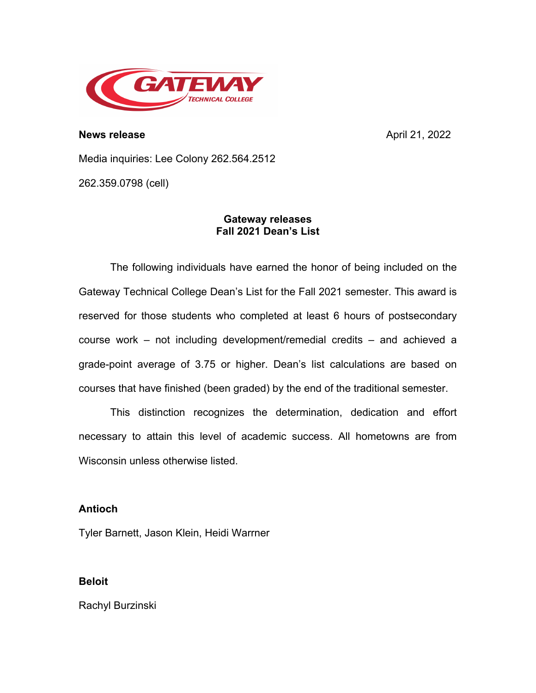

**News release** April 21, 2022

Media inquiries: Lee Colony 262.564.2512

262.359.0798 (cell)

# **Gateway releases Fall 2021 Dean's List**

The following individuals have earned the honor of being included on the Gateway Technical College Dean's List for the Fall 2021 semester. This award is reserved for those students who completed at least 6 hours of postsecondary course work – not including development/remedial credits – and achieved a grade-point average of 3.75 or higher. Dean's list calculations are based on courses that have finished (been graded) by the end of the traditional semester.

This distinction recognizes the determination, dedication and effort necessary to attain this level of academic success. All hometowns are from Wisconsin unless otherwise listed.

# **Antioch**

Tyler Barnett, Jason Klein, Heidi Warrner

# **Beloit**

Rachyl Burzinski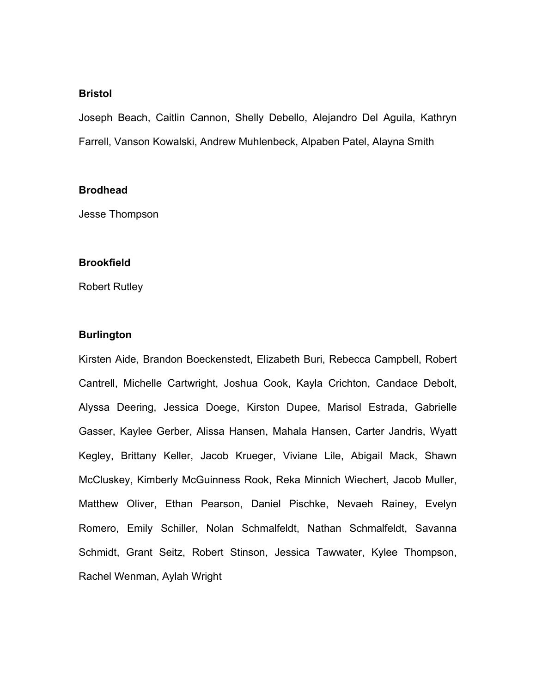## **Bristol**

Joseph Beach, Caitlin Cannon, Shelly Debello, Alejandro Del Aguila, Kathryn Farrell, Vanson Kowalski, Andrew Muhlenbeck, Alpaben Patel, Alayna Smith

### **Brodhead**

Jesse Thompson

#### **Brookfield**

Robert Rutley

#### **Burlington**

Kirsten Aide, Brandon Boeckenstedt, Elizabeth Buri, Rebecca Campbell, Robert Cantrell, Michelle Cartwright, Joshua Cook, Kayla Crichton, Candace Debolt, Alyssa Deering, Jessica Doege, Kirston Dupee, Marisol Estrada, Gabrielle Gasser, Kaylee Gerber, Alissa Hansen, Mahala Hansen, Carter Jandris, Wyatt Kegley, Brittany Keller, Jacob Krueger, Viviane Lile, Abigail Mack, Shawn McCluskey, Kimberly McGuinness Rook, Reka Minnich Wiechert, Jacob Muller, Matthew Oliver, Ethan Pearson, Daniel Pischke, Nevaeh Rainey, Evelyn Romero, Emily Schiller, Nolan Schmalfeldt, Nathan Schmalfeldt, Savanna Schmidt, Grant Seitz, Robert Stinson, Jessica Tawwater, Kylee Thompson, Rachel Wenman, Aylah Wright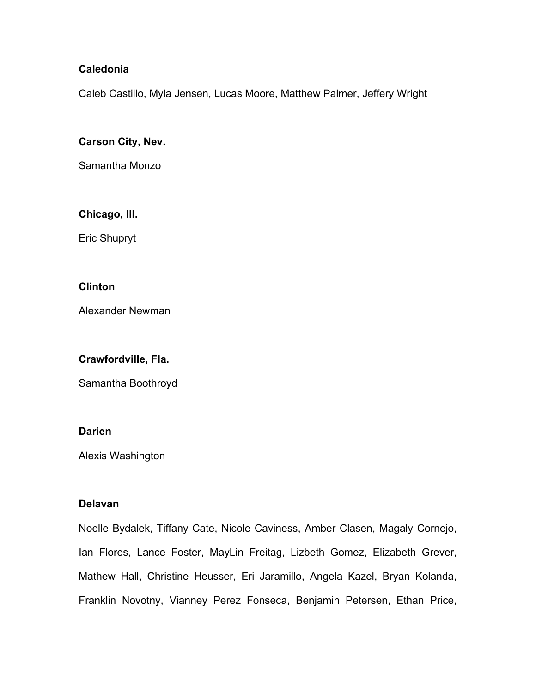# **Caledonia**

Caleb Castillo, Myla Jensen, Lucas Moore, Matthew Palmer, Jeffery Wright

# **Carson City, Nev.**

Samantha Monzo

### **Chicago, Ill.**

Eric Shupryt

# **Clinton**

Alexander Newman

### **Crawfordville, Fla.**

Samantha Boothroyd

### **Darien**

Alexis Washington

## **Delavan**

Noelle Bydalek, Tiffany Cate, Nicole Caviness, Amber Clasen, Magaly Cornejo, Ian Flores, Lance Foster, MayLin Freitag, Lizbeth Gomez, Elizabeth Grever, Mathew Hall, Christine Heusser, Eri Jaramillo, Angela Kazel, Bryan Kolanda, Franklin Novotny, Vianney Perez Fonseca, Benjamin Petersen, Ethan Price,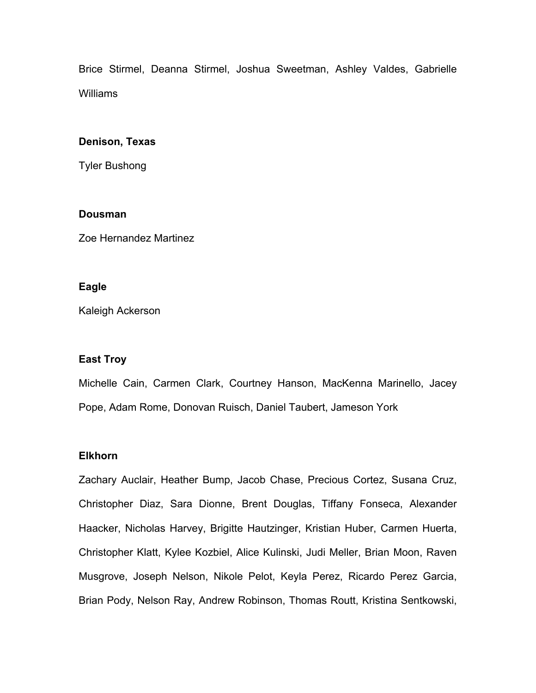Brice Stirmel, Deanna Stirmel, Joshua Sweetman, Ashley Valdes, Gabrielle Williams

## **Denison, Texas**

Tyler Bushong

#### **Dousman**

Zoe Hernandez Martinez

### **Eagle**

Kaleigh Ackerson

#### **East Troy**

Michelle Cain, Carmen Clark, Courtney Hanson, MacKenna Marinello, Jacey Pope, Adam Rome, Donovan Ruisch, Daniel Taubert, Jameson York

#### **Elkhorn**

Zachary Auclair, Heather Bump, Jacob Chase, Precious Cortez, Susana Cruz, Christopher Diaz, Sara Dionne, Brent Douglas, Tiffany Fonseca, Alexander Haacker, Nicholas Harvey, Brigitte Hautzinger, Kristian Huber, Carmen Huerta, Christopher Klatt, Kylee Kozbiel, Alice Kulinski, Judi Meller, Brian Moon, Raven Musgrove, Joseph Nelson, Nikole Pelot, Keyla Perez, Ricardo Perez Garcia, Brian Pody, Nelson Ray, Andrew Robinson, Thomas Routt, Kristina Sentkowski,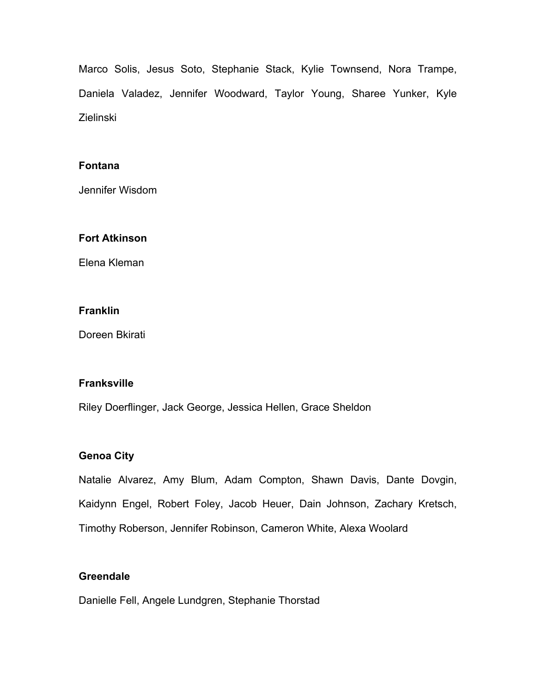Marco Solis, Jesus Soto, Stephanie Stack, Kylie Townsend, Nora Trampe, Daniela Valadez, Jennifer Woodward, Taylor Young, Sharee Yunker, Kyle Zielinski

## **Fontana**

Jennifer Wisdom

# **Fort Atkinson**

Elena Kleman

# **Franklin**

Doreen Bkirati

# **Franksville**

Riley Doerflinger, Jack George, Jessica Hellen, Grace Sheldon

# **Genoa City**

Natalie Alvarez, Amy Blum, Adam Compton, Shawn Davis, Dante Dovgin, Kaidynn Engel, Robert Foley, Jacob Heuer, Dain Johnson, Zachary Kretsch, Timothy Roberson, Jennifer Robinson, Cameron White, Alexa Woolard

# **Greendale**

Danielle Fell, Angele Lundgren, Stephanie Thorstad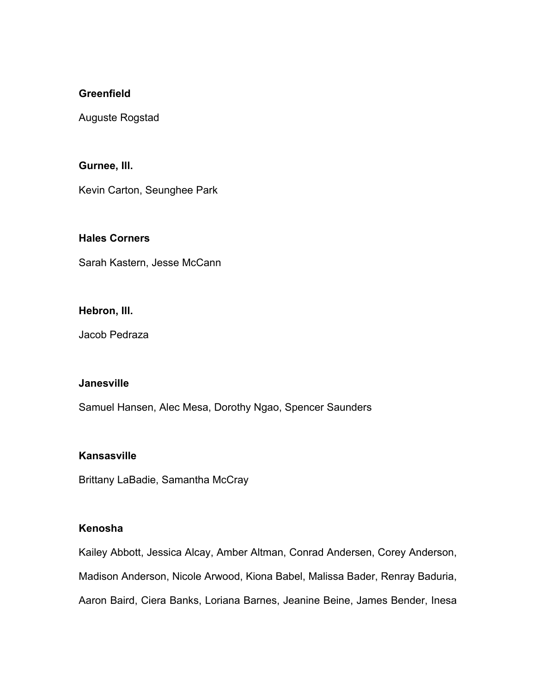# **Greenfield**

Auguste Rogstad

**Gurnee, Ill.**

Kevin Carton, Seunghee Park

# **Hales Corners**

Sarah Kastern, Jesse McCann

### **Hebron, Ill.**

Jacob Pedraza

# **Janesville**

Samuel Hansen, Alec Mesa, Dorothy Ngao, Spencer Saunders

## **Kansasville**

Brittany LaBadie, Samantha McCray

## **Kenosha**

Kailey Abbott, Jessica Alcay, Amber Altman, Conrad Andersen, Corey Anderson, Madison Anderson, Nicole Arwood, Kiona Babel, Malissa Bader, Renray Baduria, Aaron Baird, Ciera Banks, Loriana Barnes, Jeanine Beine, James Bender, Inesa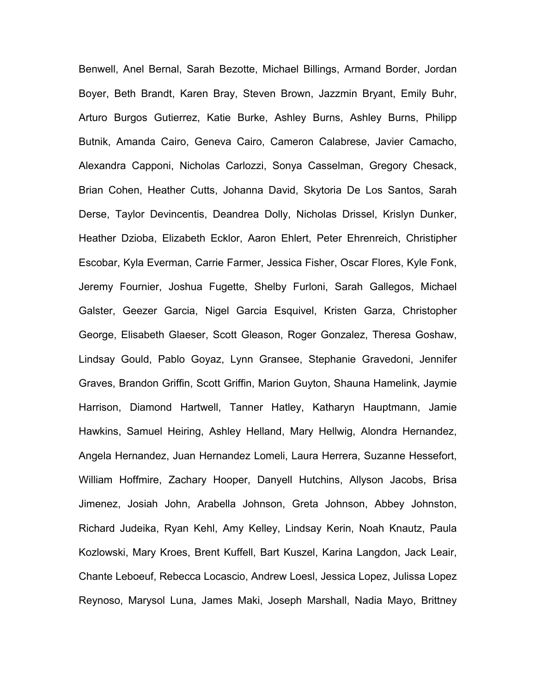Benwell, Anel Bernal, Sarah Bezotte, Michael Billings, Armand Border, Jordan Boyer, Beth Brandt, Karen Bray, Steven Brown, Jazzmin Bryant, Emily Buhr, Arturo Burgos Gutierrez, Katie Burke, Ashley Burns, Ashley Burns, Philipp Butnik, Amanda Cairo, Geneva Cairo, Cameron Calabrese, Javier Camacho, Alexandra Capponi, Nicholas Carlozzi, Sonya Casselman, Gregory Chesack, Brian Cohen, Heather Cutts, Johanna David, Skytoria De Los Santos, Sarah Derse, Taylor Devincentis, Deandrea Dolly, Nicholas Drissel, Krislyn Dunker, Heather Dzioba, Elizabeth Ecklor, Aaron Ehlert, Peter Ehrenreich, Christipher Escobar, Kyla Everman, Carrie Farmer, Jessica Fisher, Oscar Flores, Kyle Fonk, Jeremy Fournier, Joshua Fugette, Shelby Furloni, Sarah Gallegos, Michael Galster, Geezer Garcia, Nigel Garcia Esquivel, Kristen Garza, Christopher George, Elisabeth Glaeser, Scott Gleason, Roger Gonzalez, Theresa Goshaw, Lindsay Gould, Pablo Goyaz, Lynn Gransee, Stephanie Gravedoni, Jennifer Graves, Brandon Griffin, Scott Griffin, Marion Guyton, Shauna Hamelink, Jaymie Harrison, Diamond Hartwell, Tanner Hatley, Katharyn Hauptmann, Jamie Hawkins, Samuel Heiring, Ashley Helland, Mary Hellwig, Alondra Hernandez, Angela Hernandez, Juan Hernandez Lomeli, Laura Herrera, Suzanne Hessefort, William Hoffmire, Zachary Hooper, Danyell Hutchins, Allyson Jacobs, Brisa Jimenez, Josiah John, Arabella Johnson, Greta Johnson, Abbey Johnston, Richard Judeika, Ryan Kehl, Amy Kelley, Lindsay Kerin, Noah Knautz, Paula Kozlowski, Mary Kroes, Brent Kuffell, Bart Kuszel, Karina Langdon, Jack Leair, Chante Leboeuf, Rebecca Locascio, Andrew Loesl, Jessica Lopez, Julissa Lopez Reynoso, Marysol Luna, James Maki, Joseph Marshall, Nadia Mayo, Brittney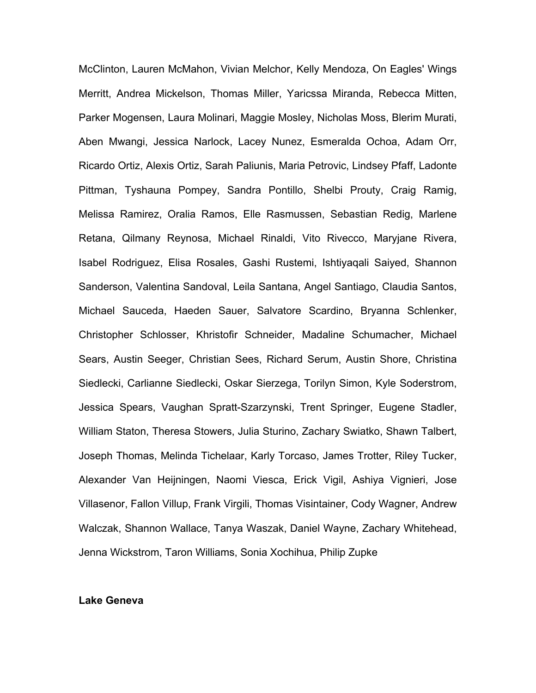McClinton, Lauren McMahon, Vivian Melchor, Kelly Mendoza, On Eagles' Wings Merritt, Andrea Mickelson, Thomas Miller, Yaricssa Miranda, Rebecca Mitten, Parker Mogensen, Laura Molinari, Maggie Mosley, Nicholas Moss, Blerim Murati, Aben Mwangi, Jessica Narlock, Lacey Nunez, Esmeralda Ochoa, Adam Orr, Ricardo Ortiz, Alexis Ortiz, Sarah Paliunis, Maria Petrovic, Lindsey Pfaff, Ladonte Pittman, Tyshauna Pompey, Sandra Pontillo, Shelbi Prouty, Craig Ramig, Melissa Ramirez, Oralia Ramos, Elle Rasmussen, Sebastian Redig, Marlene Retana, Qilmany Reynosa, Michael Rinaldi, Vito Rivecco, Maryjane Rivera, Isabel Rodriguez, Elisa Rosales, Gashi Rustemi, Ishtiyaqali Saiyed, Shannon Sanderson, Valentina Sandoval, Leila Santana, Angel Santiago, Claudia Santos, Michael Sauceda, Haeden Sauer, Salvatore Scardino, Bryanna Schlenker, Christopher Schlosser, Khristofir Schneider, Madaline Schumacher, Michael Sears, Austin Seeger, Christian Sees, Richard Serum, Austin Shore, Christina Siedlecki, Carlianne Siedlecki, Oskar Sierzega, Torilyn Simon, Kyle Soderstrom, Jessica Spears, Vaughan Spratt-Szarzynski, Trent Springer, Eugene Stadler, William Staton, Theresa Stowers, Julia Sturino, Zachary Swiatko, Shawn Talbert, Joseph Thomas, Melinda Tichelaar, Karly Torcaso, James Trotter, Riley Tucker, Alexander Van Heijningen, Naomi Viesca, Erick Vigil, Ashiya Vignieri, Jose Villasenor, Fallon Villup, Frank Virgili, Thomas Visintainer, Cody Wagner, Andrew Walczak, Shannon Wallace, Tanya Waszak, Daniel Wayne, Zachary Whitehead, Jenna Wickstrom, Taron Williams, Sonia Xochihua, Philip Zupke

#### **Lake Geneva**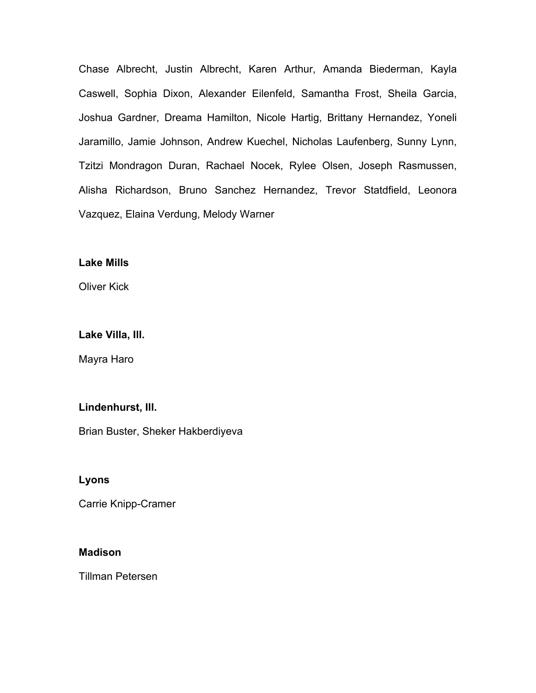Chase Albrecht, Justin Albrecht, Karen Arthur, Amanda Biederman, Kayla Caswell, Sophia Dixon, Alexander Eilenfeld, Samantha Frost, Sheila Garcia, Joshua Gardner, Dreama Hamilton, Nicole Hartig, Brittany Hernandez, Yoneli Jaramillo, Jamie Johnson, Andrew Kuechel, Nicholas Laufenberg, Sunny Lynn, Tzitzi Mondragon Duran, Rachael Nocek, Rylee Olsen, Joseph Rasmussen, Alisha Richardson, Bruno Sanchez Hernandez, Trevor Statdfield, Leonora Vazquez, Elaina Verdung, Melody Warner

### **Lake Mills**

Oliver Kick

#### **Lake Villa, Ill.**

Mayra Haro

#### **Lindenhurst, Ill.**

Brian Buster, Sheker Hakberdiyeva

#### **Lyons**

Carrie Knipp-Cramer

#### **Madison**

Tillman Petersen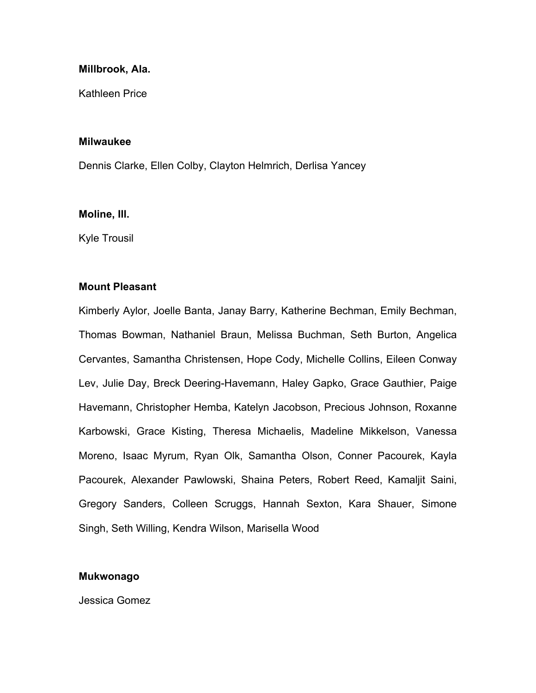#### **Millbrook, Ala.**

Kathleen Price

#### **Milwaukee**

Dennis Clarke, Ellen Colby, Clayton Helmrich, Derlisa Yancey

#### **Moline, Ill.**

Kyle Trousil

### **Mount Pleasant**

Kimberly Aylor, Joelle Banta, Janay Barry, Katherine Bechman, Emily Bechman, Thomas Bowman, Nathaniel Braun, Melissa Buchman, Seth Burton, Angelica Cervantes, Samantha Christensen, Hope Cody, Michelle Collins, Eileen Conway Lev, Julie Day, Breck Deering-Havemann, Haley Gapko, Grace Gauthier, Paige Havemann, Christopher Hemba, Katelyn Jacobson, Precious Johnson, Roxanne Karbowski, Grace Kisting, Theresa Michaelis, Madeline Mikkelson, Vanessa Moreno, Isaac Myrum, Ryan Olk, Samantha Olson, Conner Pacourek, Kayla Pacourek, Alexander Pawlowski, Shaina Peters, Robert Reed, Kamaljit Saini, Gregory Sanders, Colleen Scruggs, Hannah Sexton, Kara Shauer, Simone Singh, Seth Willing, Kendra Wilson, Marisella Wood

### **Mukwonago**

Jessica Gomez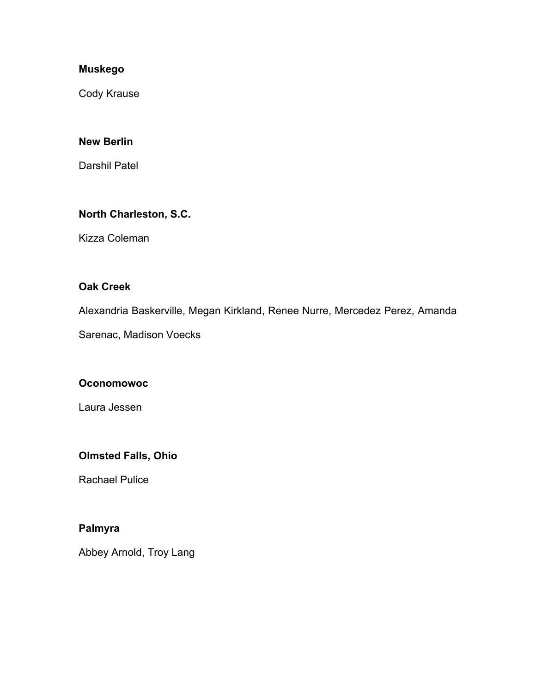# **Muskego**

Cody Krause

# **New Berlin**

Darshil Patel

# **North Charleston, S.C.**

Kizza Coleman

# **Oak Creek**

Alexandria Baskerville, Megan Kirkland, Renee Nurre, Mercedez Perez, Amanda

Sarenac, Madison Voecks

# **Oconomowoc**

Laura Jessen

# **Olmsted Falls, Ohio**

Rachael Pulice

# **Palmyra**

Abbey Arnold, Troy Lang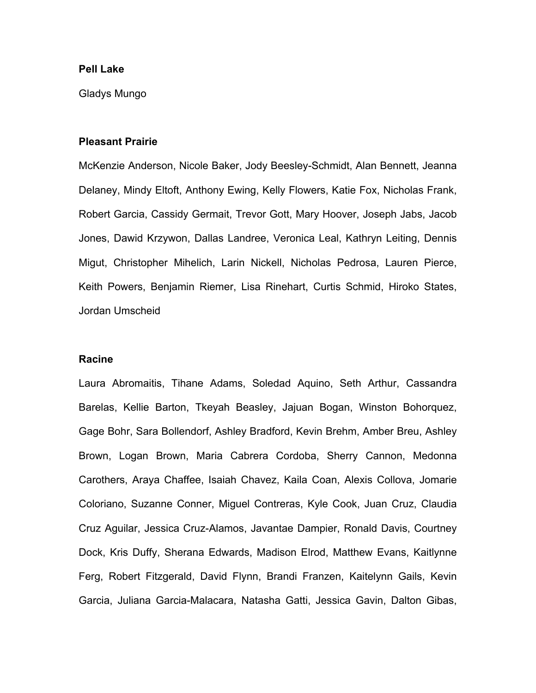### **Pell Lake**

Gladys Mungo

#### **Pleasant Prairie**

McKenzie Anderson, Nicole Baker, Jody Beesley-Schmidt, Alan Bennett, Jeanna Delaney, Mindy Eltoft, Anthony Ewing, Kelly Flowers, Katie Fox, Nicholas Frank, Robert Garcia, Cassidy Germait, Trevor Gott, Mary Hoover, Joseph Jabs, Jacob Jones, Dawid Krzywon, Dallas Landree, Veronica Leal, Kathryn Leiting, Dennis Migut, Christopher Mihelich, Larin Nickell, Nicholas Pedrosa, Lauren Pierce, Keith Powers, Benjamin Riemer, Lisa Rinehart, Curtis Schmid, Hiroko States, Jordan Umscheid

#### **Racine**

Laura Abromaitis, Tihane Adams, Soledad Aquino, Seth Arthur, Cassandra Barelas, Kellie Barton, Tkeyah Beasley, Jajuan Bogan, Winston Bohorquez, Gage Bohr, Sara Bollendorf, Ashley Bradford, Kevin Brehm, Amber Breu, Ashley Brown, Logan Brown, Maria Cabrera Cordoba, Sherry Cannon, Medonna Carothers, Araya Chaffee, Isaiah Chavez, Kaila Coan, Alexis Collova, Jomarie Coloriano, Suzanne Conner, Miguel Contreras, Kyle Cook, Juan Cruz, Claudia Cruz Aguilar, Jessica Cruz-Alamos, Javantae Dampier, Ronald Davis, Courtney Dock, Kris Duffy, Sherana Edwards, Madison Elrod, Matthew Evans, Kaitlynne Ferg, Robert Fitzgerald, David Flynn, Brandi Franzen, Kaitelynn Gails, Kevin Garcia, Juliana Garcia-Malacara, Natasha Gatti, Jessica Gavin, Dalton Gibas,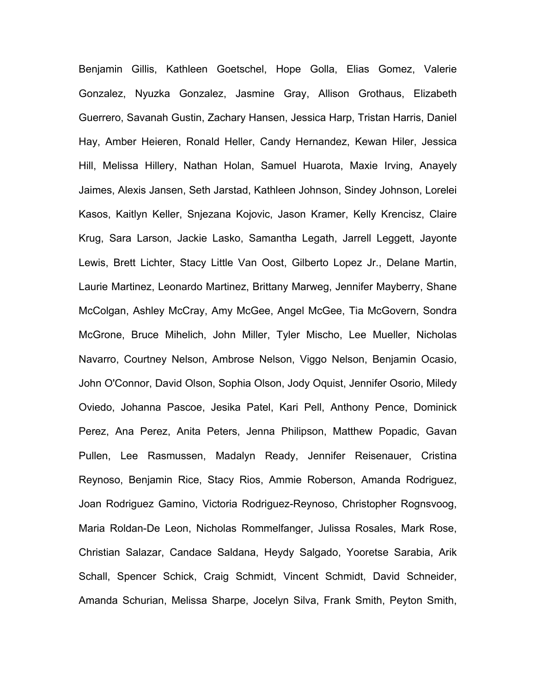Benjamin Gillis, Kathleen Goetschel, Hope Golla, Elias Gomez, Valerie Gonzalez, Nyuzka Gonzalez, Jasmine Gray, Allison Grothaus, Elizabeth Guerrero, Savanah Gustin, Zachary Hansen, Jessica Harp, Tristan Harris, Daniel Hay, Amber Heieren, Ronald Heller, Candy Hernandez, Kewan Hiler, Jessica Hill, Melissa Hillery, Nathan Holan, Samuel Huarota, Maxie Irving, Anayely Jaimes, Alexis Jansen, Seth Jarstad, Kathleen Johnson, Sindey Johnson, Lorelei Kasos, Kaitlyn Keller, Snjezana Kojovic, Jason Kramer, Kelly Krencisz, Claire Krug, Sara Larson, Jackie Lasko, Samantha Legath, Jarrell Leggett, Jayonte Lewis, Brett Lichter, Stacy Little Van Oost, Gilberto Lopez Jr., Delane Martin, Laurie Martinez, Leonardo Martinez, Brittany Marweg, Jennifer Mayberry, Shane McColgan, Ashley McCray, Amy McGee, Angel McGee, Tia McGovern, Sondra McGrone, Bruce Mihelich, John Miller, Tyler Mischo, Lee Mueller, Nicholas Navarro, Courtney Nelson, Ambrose Nelson, Viggo Nelson, Benjamin Ocasio, John O'Connor, David Olson, Sophia Olson, Jody Oquist, Jennifer Osorio, Miledy Oviedo, Johanna Pascoe, Jesika Patel, Kari Pell, Anthony Pence, Dominick Perez, Ana Perez, Anita Peters, Jenna Philipson, Matthew Popadic, Gavan Pullen, Lee Rasmussen, Madalyn Ready, Jennifer Reisenauer, Cristina Reynoso, Benjamin Rice, Stacy Rios, Ammie Roberson, Amanda Rodriguez, Joan Rodriguez Gamino, Victoria Rodriguez-Reynoso, Christopher Rognsvoog, Maria Roldan-De Leon, Nicholas Rommelfanger, Julissa Rosales, Mark Rose, Christian Salazar, Candace Saldana, Heydy Salgado, Yooretse Sarabia, Arik Schall, Spencer Schick, Craig Schmidt, Vincent Schmidt, David Schneider, Amanda Schurian, Melissa Sharpe, Jocelyn Silva, Frank Smith, Peyton Smith,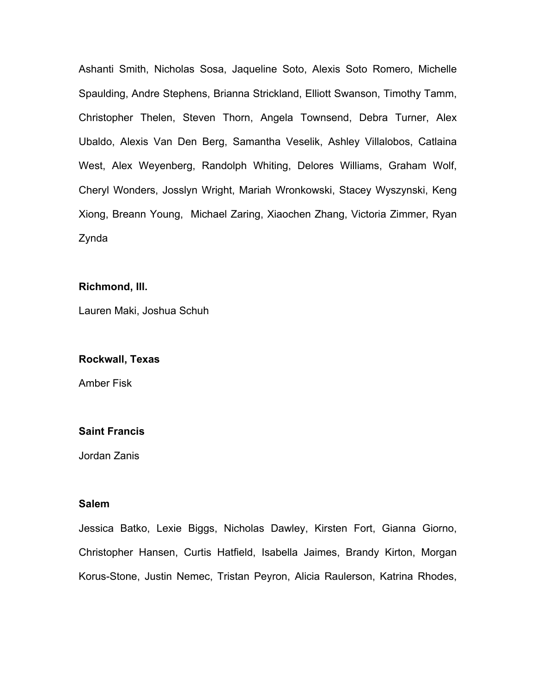Ashanti Smith, Nicholas Sosa, Jaqueline Soto, Alexis Soto Romero, Michelle Spaulding, Andre Stephens, Brianna Strickland, Elliott Swanson, Timothy Tamm, Christopher Thelen, Steven Thorn, Angela Townsend, Debra Turner, Alex Ubaldo, Alexis Van Den Berg, Samantha Veselik, Ashley Villalobos, Catlaina West, Alex Weyenberg, Randolph Whiting, Delores Williams, Graham Wolf, Cheryl Wonders, Josslyn Wright, Mariah Wronkowski, Stacey Wyszynski, Keng Xiong, Breann Young, Michael Zaring, Xiaochen Zhang, Victoria Zimmer, Ryan Zynda

#### **Richmond, Ill.**

Lauren Maki, Joshua Schuh

#### **Rockwall, Texas**

Amber Fisk

### **Saint Francis**

Jordan Zanis

#### **Salem**

Jessica Batko, Lexie Biggs, Nicholas Dawley, Kirsten Fort, Gianna Giorno, Christopher Hansen, Curtis Hatfield, Isabella Jaimes, Brandy Kirton, Morgan Korus-Stone, Justin Nemec, Tristan Peyron, Alicia Raulerson, Katrina Rhodes,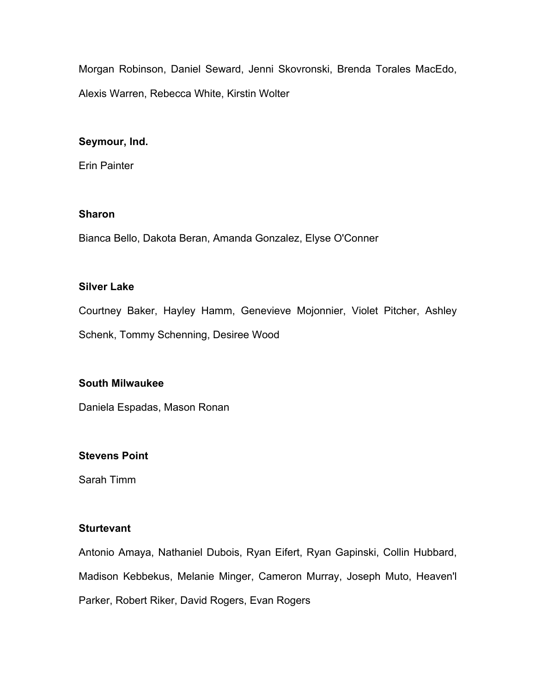Morgan Robinson, Daniel Seward, Jenni Skovronski, Brenda Torales MacEdo, Alexis Warren, Rebecca White, Kirstin Wolter

# **Seymour, Ind.**

Erin Painter

# **Sharon**

Bianca Bello, Dakota Beran, Amanda Gonzalez, Elyse O'Conner

# **Silver Lake**

Courtney Baker, Hayley Hamm, Genevieve Mojonnier, Violet Pitcher, Ashley Schenk, Tommy Schenning, Desiree Wood

### **South Milwaukee**

Daniela Espadas, Mason Ronan

### **Stevens Point**

Sarah Timm

### **Sturtevant**

Antonio Amaya, Nathaniel Dubois, Ryan Eifert, Ryan Gapinski, Collin Hubbard, Madison Kebbekus, Melanie Minger, Cameron Murray, Joseph Muto, Heaven'l Parker, Robert Riker, David Rogers, Evan Rogers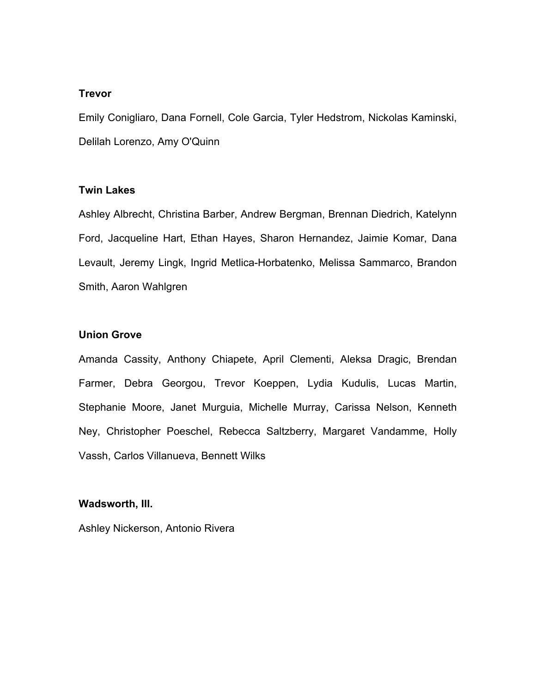## **Trevor**

Emily Conigliaro, Dana Fornell, Cole Garcia, Tyler Hedstrom, Nickolas Kaminski, Delilah Lorenzo, Amy O'Quinn

### **Twin Lakes**

Ashley Albrecht, Christina Barber, Andrew Bergman, Brennan Diedrich, Katelynn Ford, Jacqueline Hart, Ethan Hayes, Sharon Hernandez, Jaimie Komar, Dana Levault, Jeremy Lingk, Ingrid Metlica-Horbatenko, Melissa Sammarco, Brandon Smith, Aaron Wahlgren

### **Union Grove**

Amanda Cassity, Anthony Chiapete, April Clementi, Aleksa Dragic, Brendan Farmer, Debra Georgou, Trevor Koeppen, Lydia Kudulis, Lucas Martin, Stephanie Moore, Janet Murguia, Michelle Murray, Carissa Nelson, Kenneth Ney, Christopher Poeschel, Rebecca Saltzberry, Margaret Vandamme, Holly Vassh, Carlos Villanueva, Bennett Wilks

#### **Wadsworth, Ill.**

Ashley Nickerson, Antonio Rivera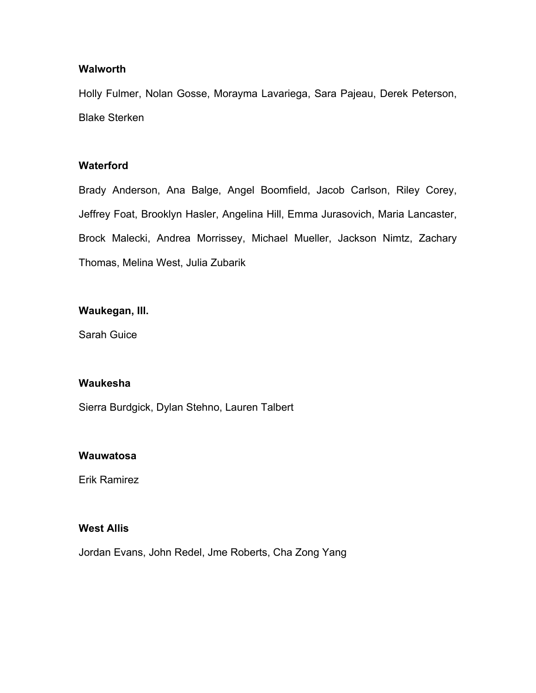# **Walworth**

Holly Fulmer, Nolan Gosse, Morayma Lavariega, Sara Pajeau, Derek Peterson, Blake Sterken

# **Waterford**

Brady Anderson, Ana Balge, Angel Boomfield, Jacob Carlson, Riley Corey, Jeffrey Foat, Brooklyn Hasler, Angelina Hill, Emma Jurasovich, Maria Lancaster, Brock Malecki, Andrea Morrissey, Michael Mueller, Jackson Nimtz, Zachary Thomas, Melina West, Julia Zubarik

#### **Waukegan, Ill.**

Sarah Guice

### **Waukesha**

Sierra Burdgick, Dylan Stehno, Lauren Talbert

#### **Wauwatosa**

Erik Ramirez

### **West Allis**

Jordan Evans, John Redel, Jme Roberts, Cha Zong Yang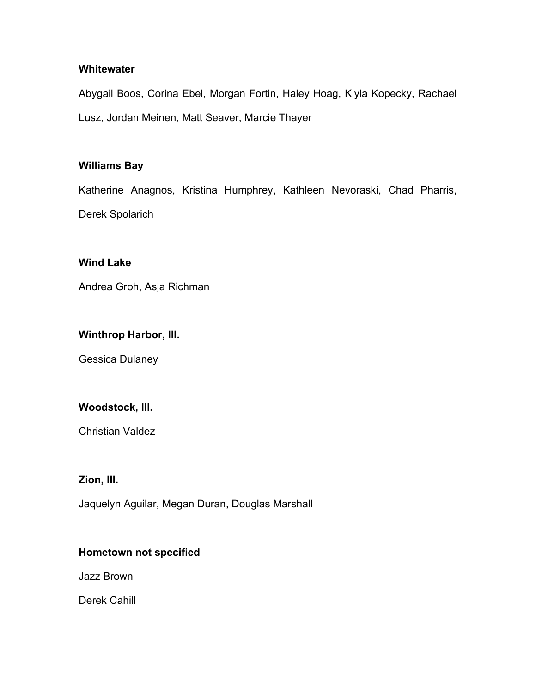# **Whitewater**

Abygail Boos, Corina Ebel, Morgan Fortin, Haley Hoag, Kiyla Kopecky, Rachael Lusz, Jordan Meinen, Matt Seaver, Marcie Thayer

# **Williams Bay**

Katherine Anagnos, Kristina Humphrey, Kathleen Nevoraski, Chad Pharris, Derek Spolarich

# **Wind Lake**

Andrea Groh, Asja Richman

# **Winthrop Harbor, Ill.**

Gessica Dulaney

# **Woodstock, Ill.**

Christian Valdez

### **Zion, Ill.**

Jaquelyn Aguilar, Megan Duran, Douglas Marshall

# **Hometown not specified**

Jazz Brown

Derek Cahill